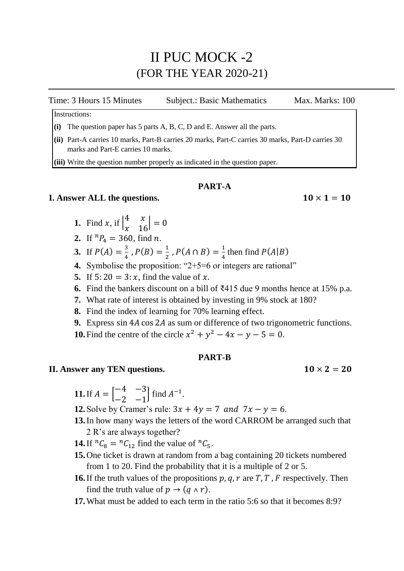# II PUC MOCK -2 (FOR THE YEAR 2020-21)

Time: 3 Hours 15 Minutes Subject.: Basic Mathematics Max. Marks: 100

Instructions:

**(i)** The question paper has 5 parts A, B, C, D and E. Answer all the parts.

**(ii)** Part-A carries 10 marks, Part-B carries 20 marks, Part-C carries 30 marks, Part-D carries 30 marks and Part-E carries 10 marks.

**(iii)** Write the question number properly as indicated in the question paper.

#### **PART-A**

#### **I.** Answer ALL the questions.  $10 \times 1 = 10$

- **1.** Find x, if  $\begin{vmatrix} 4 & x \\ x & 16 \end{vmatrix} = 0$
- **2.** If  ${}^nP_4 = 360$ , find *n*.
- **3.** If  $P(A) = \frac{3}{4}$  $\frac{3}{4}$ ,  $P(B) = \frac{1}{2}$  $\frac{1}{2}$ ,  $P(A \cap B) = \frac{1}{4}$  $\frac{1}{4}$  then find  $P(A|B)$
- **4.** Symbolise the proposition: "2+5=6 or integers are rational"
- **5.** If  $5: 20 = 3: x$ , find the value of x.
- **6.** Find the bankers discount on a bill of ₹415 due 9 months hence at 15% p.a.
- **7.** What rate of interest is obtained by investing in 9% stock at 180?
- **8.** Find the index of learning for 70% learning effect.
- **9.** Express sin 4A cos 2A as sum or difference of two trigonometric functions.
- **10.** Find the centre of the circle  $x^2 + y^2 4x y 5 = 0$ .

#### **PART-B**

## **II.** Answer any TEN questions.  $10 \times 2 = 20$

**11.** If  $A = \begin{bmatrix} -4 & -3 \\ 2 & 1 \end{bmatrix}$ −2 −1  $\int$  find  $A^{-1}$ .

**12.** Solve by Cramer's rule:  $3x + 4y = 7$  and  $7x - y = 6$ .

- **13.**In how many ways the letters of the word CARROM be arranged such that 2 R's are always together?
- **14.** If  ${}^nC_8 = {}^nC_{12}$  find the value of  ${}^nC_5$ .
- **15.**One ticket is drawn at random from a bag containing 20 tickets numbered from 1 to 20. Find the probability that it is a multiple of 2 or 5.
- **16.** If the truth values of the propositions  $p, q, r$  are  $T, T, F$  respectively. Then find the truth value of  $p \to (q \wedge r)$ .
- **17.**What must be added to each term in the ratio 5:6 so that it becomes 8:9?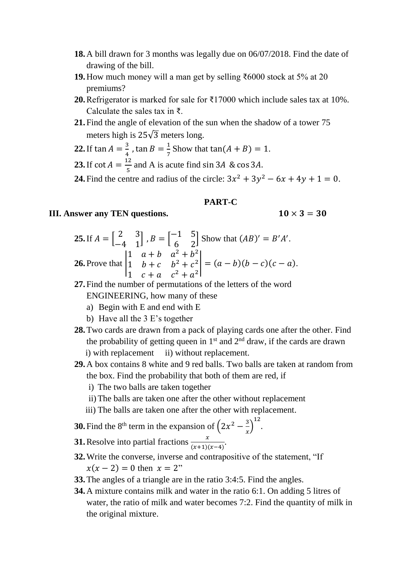- **18.**A bill drawn for 3 months was legally due on 06/07/2018. Find the date of drawing of the bill.
- **19.**How much money will a man get by selling ₹6000 stock at 5% at 20 premiums?
- **20.**Refrigerator is marked for sale for ₹17000 which include sales tax at 10%. Calculate the sales tax in  $\bar{\tau}$ .
- **21.**Find the angle of elevation of the sun when the shadow of a tower 75 meters high is  $25\sqrt{3}$  meters long.
- **22.** If  $\tan A = \frac{3}{4}$  $\frac{3}{4}$ , tan  $B = \frac{1}{7}$  $\frac{1}{7}$  Show that  $\tan(A + B) = 1$ .
- **23.** If cot  $A = \frac{12}{5}$  and A is acute find sin 3A & cos 3A. 5

**24.** Find the centre and radius of the circle:  $3x^2 + 3y^2 - 6x + 4y + 1 = 0$ .

#### **PART-C**

#### **III.** Answer any TEN questions.  $10 \times 3 = 30$

**25.** If  $A = \begin{bmatrix} 2 & 3 \\ 4 & 1 \end{bmatrix}$ −4 1  $B = \begin{bmatrix} -1 & 5 \\ 6 & 3 \end{bmatrix}$ 6 2 Show that  $(AB)' = B'A'.$ **26.**Prove that | 1  $a + b$   $a^2 + b^2$ 1  $b + c$   $b^2 + c^2$  $| = (a - b)(b - c)(c - a).$ 

1  $c + a$   $c^2 + a^2$ 

- **27.**Find the number of permutations of the letters of the word ENGINEERING, how many of these
	- a) Begin with E and end with E
	- b) Have all the 3 E's together
- **28.**Two cards are drawn from a pack of playing cards one after the other. Find the probability of getting queen in  $1<sup>st</sup>$  and  $2<sup>nd</sup>$  draw, if the cards are drawn i) with replacement ii) without replacement.
- **29.**A box contains 8 white and 9 red balls. Two balls are taken at random from the box. Find the probability that both of them are red, if

.

- i) The two balls are taken together
- ii)The balls are taken one after the other without replacement
- iii) The balls are taken one after the other with replacement.
- **30.** Find the 8<sup>th</sup> term in the expansion of  $\left(2x^2 \frac{3}{x}\right)$  $\frac{3}{x}$ 12

**31.** Resolve into partial fractions  $\frac{x}{(x+1)(x-4)}$ .

- **32.**Write the converse, inverse and contrapositive of the statement, "If  $x(x - 2) = 0$  then  $x = 2$ "
- **33.**The angles of a triangle are in the ratio 3:4:5. Find the angles.
- **34.**A mixture contains milk and water in the ratio 6:1. On adding 5 litres of water, the ratio of milk and water becomes 7:2. Find the quantity of milk in the original mixture.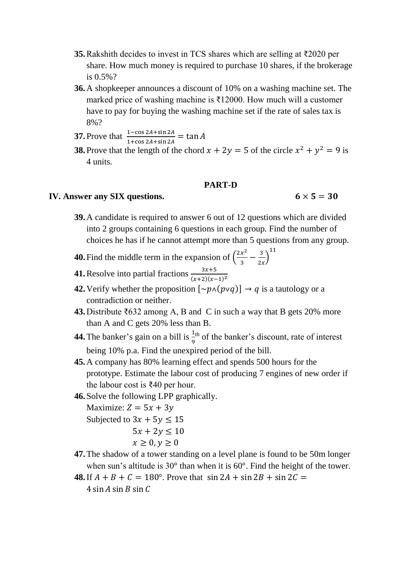- **35.**Rakshith decides to invest in TCS shares which are selling at ₹2020 per share. How much money is required to purchase 10 shares, if the brokerage is 0.5%?
- **36.**A shopkeeper announces a discount of 10% on a washing machine set. The marked price of washing machine is ₹12000. How much will a customer have to pay for buying the washing machine set if the rate of sales tax is 8%?
- **37.** Prove that  $\frac{1-\cos 2A+\sin 2A}{1+\cos 2A+\sin 2A} = \tan A$
- **38.** Prove that the length of the chord  $x + 2y = 5$  of the circle  $x^2 + y^2 = 9$  is 4 units.

#### **PART-D**

#### **IV.** Answer any SIX questions.  $6 \times 5 = 30$

- **39.**A candidate is required to answer 6 out of 12 questions which are divided into 2 groups containing 6 questions in each group. Find the number of choices he has if he cannot attempt more than 5 questions from any group.
- **40.** Find the middle term in the expansion of  $\left(\frac{2x^2}{2}\right)$  $rac{x^2}{3} - \frac{3}{2x}$  $\frac{3}{2x}$ 11
- **41.** Resolve into partial fractions  $\frac{3x+5}{(x+2)(x-1)^2}$
- **42.** Verify whether the proposition  $[\sim p \land (p \lor q)] \rightarrow q$  is a tautology or a contradiction or neither.
- **43.**Distribute ₹632 among A, B and C in such a way that B gets 20% more than A and C gets 20% less than B.
- **44.** The banker's gain on a bill is  $\frac{1}{9}$ <sup>th</sup> of the banker's discount, rate of interest being 10% p.a. Find the unexpired period of the bill.
- **45.**A company has 80% learning effect and spends 500 hours for the prototype. Estimate the labour cost of producing 7 engines of new order if the labour cost is ₹40 per hour.
- **46.**Solve the following LPP graphically.

Maximize:  $Z = 5x + 3y$ Subjected to  $3x + 5y \le 15$  $5x + 2y \le 10$ 

$$
x \geq 0, y \geq 0
$$

- **47.**The shadow of a tower standing on a level plane is found to be 50m longer when sun's altitude is 30° than when it is 60°. Find the height of the tower.
- **48.** If  $A + B + C = 180^{\circ}$ . Prove that  $\sin 2A + \sin 2B + \sin 2C =$ 4 sin  $A$  sin  $B$  sin  $C$